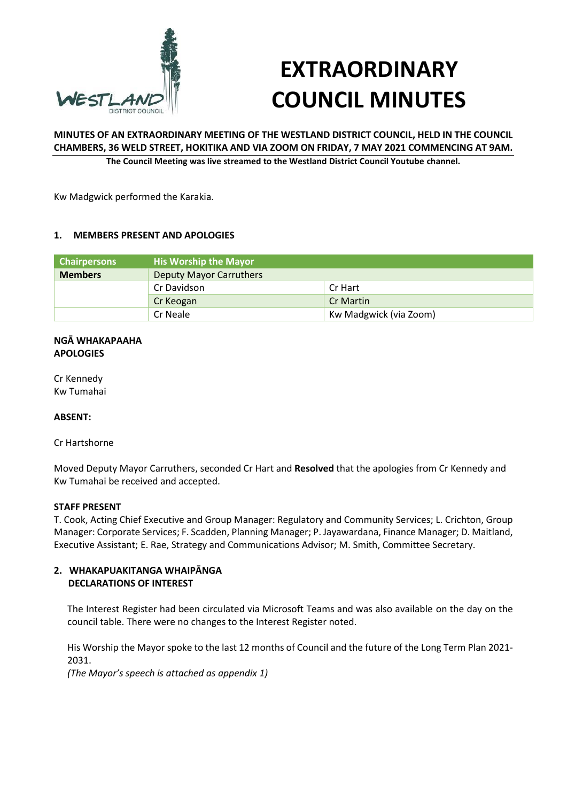

# **EXTRAORDINARY COUNCIL MINUTES**

# **MINUTES OF AN EXTRAORDINARY MEETING OF THE WESTLAND DISTRICT COUNCIL, HELD IN THE COUNCIL CHAMBERS, 36 WELD STREET, HOKITIKA AND VIA ZOOM ON FRIDAY, 7 MAY 2021 COMMENCING AT 9AM.**

**The Council Meeting was live streamed to the Westland District Council Youtube channel.**

Kw Madgwick performed the Karakia.

### **1. MEMBERS PRESENT AND APOLOGIES**

| <b>Chairpersons</b> | <b>His Worship the Mayor</b>   |                        |
|---------------------|--------------------------------|------------------------|
| <b>Members</b>      | <b>Deputy Mayor Carruthers</b> |                        |
|                     | Cr Davidson                    | Cr Hart                |
|                     | Cr Keogan                      | <b>Cr Martin</b>       |
|                     | Cr Neale                       | Kw Madgwick (via Zoom) |

#### **NGĀ WHAKAPAAHA APOLOGIES**

Cr Kennedy Kw Tumahai

### **ABSENT:**

Cr Hartshorne

Moved Deputy Mayor Carruthers, seconded Cr Hart and **Resolved** that the apologies from Cr Kennedy and Kw Tumahai be received and accepted.

#### **STAFF PRESENT**

T. Cook, Acting Chief Executive and Group Manager: Regulatory and Community Services; L. Crichton, Group Manager: Corporate Services; F. Scadden, Planning Manager; P. Jayawardana, Finance Manager; D. Maitland, Executive Assistant; E. Rae, Strategy and Communications Advisor; M. Smith, Committee Secretary.

### **2. WHAKAPUAKITANGA WHAIPĀNGA DECLARATIONS OF INTEREST**

The Interest Register had been circulated via Microsoft Teams and was also available on the day on the council table. There were no changes to the Interest Register noted.

His Worship the Mayor spoke to the last 12 months of Council and the future of the Long Term Plan 2021- 2031.

*(The Mayor's speech is attached as appendix 1)*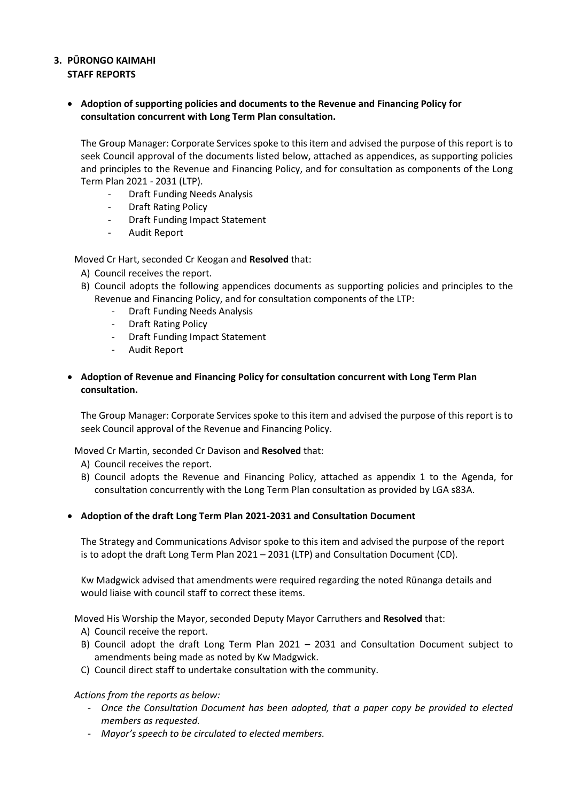# **3. PŪRONGO KAIMAHI STAFF REPORTS**

 **Adoption of supporting policies and documents to the Revenue and Financing Policy for consultation concurrent with Long Term Plan consultation.**

The Group Manager: Corporate Services spoke to this item and advised the purpose of this report is to seek Council approval of the documents listed below, attached as appendices, as supporting policies and principles to the Revenue and Financing Policy, and for consultation as components of the Long Term Plan 2021 - 2031 (LTP).

- Draft Funding Needs Analysis
- Draft Rating Policy
- Draft Funding Impact Statement
- Audit Report

Moved Cr Hart, seconded Cr Keogan and **Resolved** that:

- A) Council receives the report.
- B) Council adopts the following appendices documents as supporting policies and principles to the Revenue and Financing Policy, and for consultation components of the LTP:
	- Draft Funding Needs Analysis
	- Draft Rating Policy
	- Draft Funding Impact Statement
	- Audit Report
- **Adoption of Revenue and Financing Policy for consultation concurrent with Long Term Plan consultation.**

The Group Manager: Corporate Services spoke to this item and advised the purpose of this report is to seek Council approval of the Revenue and Financing Policy.

Moved Cr Martin, seconded Cr Davison and **Resolved** that:

- A) Council receives the report.
- B) Council adopts the Revenue and Financing Policy, attached as appendix 1 to the Agenda, for consultation concurrently with the Long Term Plan consultation as provided by LGA s83A.
- **Adoption of the draft Long Term Plan 2021-2031 and Consultation Document**

The Strategy and Communications Advisor spoke to this item and advised the purpose of the report is to adopt the draft Long Term Plan 2021 – 2031 (LTP) and Consultation Document (CD).

Kw Madgwick advised that amendments were required regarding the noted Rūnanga details and would liaise with council staff to correct these items.

Moved His Worship the Mayor, seconded Deputy Mayor Carruthers and **Resolved** that:

- A) Council receive the report.
- B) Council adopt the draft Long Term Plan 2021 2031 and Consultation Document subject to amendments being made as noted by Kw Madgwick.
- C) Council direct staff to undertake consultation with the community.

### *Actions from the reports as below:*

- *Once the Consultation Document has been adopted, that a paper copy be provided to elected members as requested.*
- *Mayor's speech to be circulated to elected members.*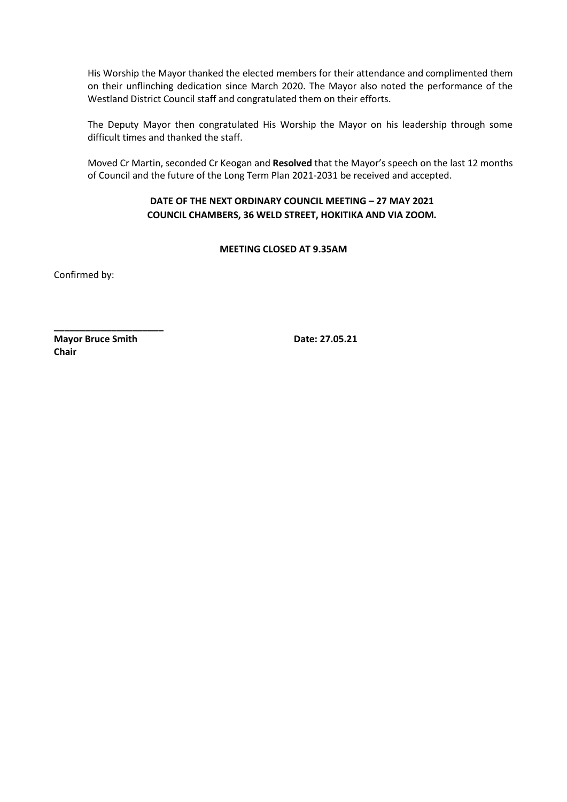His Worship the Mayor thanked the elected members for their attendance and complimented them on their unflinching dedication since March 2020. The Mayor also noted the performance of the Westland District Council staff and congratulated them on their efforts.

The Deputy Mayor then congratulated His Worship the Mayor on his leadership through some difficult times and thanked the staff.

Moved Cr Martin, seconded Cr Keogan and **Resolved** that the Mayor's speech on the last 12 months of Council and the future of the Long Term Plan 2021-2031 be received and accepted.

# **DATE OF THE NEXT ORDINARY COUNCIL MEETING – 27 MAY 2021 COUNCIL CHAMBERS, 36 WELD STREET, HOKITIKA AND VIA ZOOM.**

# **MEETING CLOSED AT 9.35AM**

Confirmed by:

**Mayor Bruce Smith Date: 27.05.21 Chair**

**\_\_\_\_\_\_\_\_\_\_\_\_\_\_\_\_\_\_\_\_\_**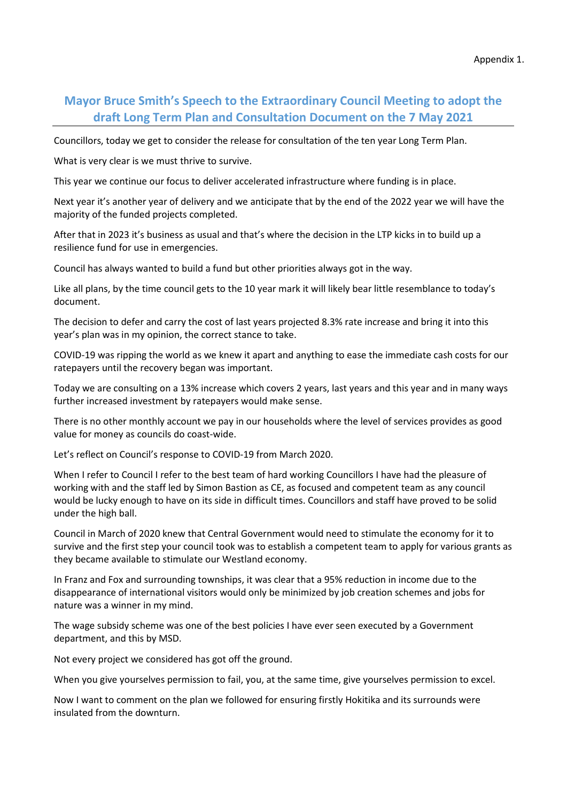# **Mayor Bruce Smith's Speech to the Extraordinary Council Meeting to adopt the draft Long Term Plan and Consultation Document on the 7 May 2021**

Councillors, today we get to consider the release for consultation of the ten year Long Term Plan.

What is very clear is we must thrive to survive.

This year we continue our focus to deliver accelerated infrastructure where funding is in place.

Next year it's another year of delivery and we anticipate that by the end of the 2022 year we will have the majority of the funded projects completed.

After that in 2023 it's business as usual and that's where the decision in the LTP kicks in to build up a resilience fund for use in emergencies.

Council has always wanted to build a fund but other priorities always got in the way.

Like all plans, by the time council gets to the 10 year mark it will likely bear little resemblance to today's document.

The decision to defer and carry the cost of last years projected 8.3% rate increase and bring it into this year's plan was in my opinion, the correct stance to take.

COVID-19 was ripping the world as we knew it apart and anything to ease the immediate cash costs for our ratepayers until the recovery began was important.

Today we are consulting on a 13% increase which covers 2 years, last years and this year and in many ways further increased investment by ratepayers would make sense.

There is no other monthly account we pay in our households where the level of services provides as good value for money as councils do coast-wide.

Let's reflect on Council's response to COVID-19 from March 2020.

When I refer to Council I refer to the best team of hard working Councillors I have had the pleasure of working with and the staff led by Simon Bastion as CE, as focused and competent team as any council would be lucky enough to have on its side in difficult times. Councillors and staff have proved to be solid under the high ball.

Council in March of 2020 knew that Central Government would need to stimulate the economy for it to survive and the first step your council took was to establish a competent team to apply for various grants as they became available to stimulate our Westland economy.

In Franz and Fox and surrounding townships, it was clear that a 95% reduction in income due to the disappearance of international visitors would only be minimized by job creation schemes and jobs for nature was a winner in my mind.

The wage subsidy scheme was one of the best policies I have ever seen executed by a Government department, and this by MSD.

Not every project we considered has got off the ground.

When you give yourselves permission to fail, you, at the same time, give yourselves permission to excel.

Now I want to comment on the plan we followed for ensuring firstly Hokitika and its surrounds were insulated from the downturn.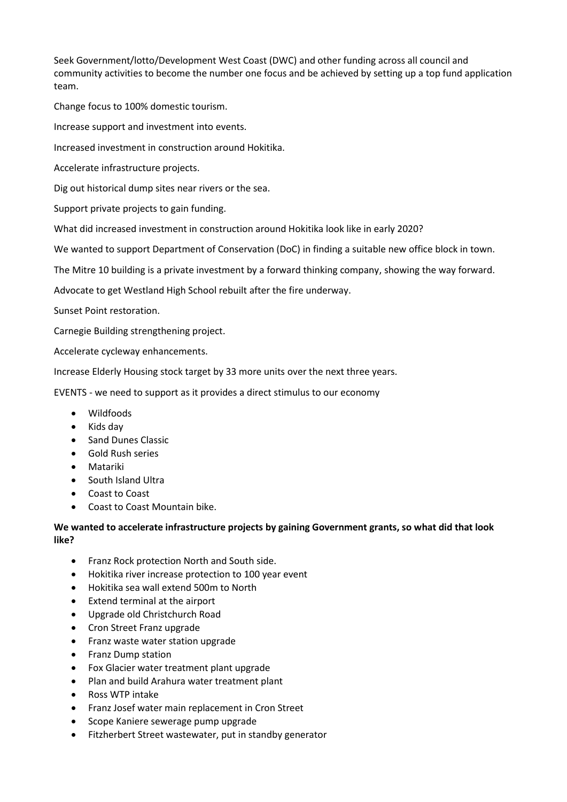Seek Government/lotto/Development West Coast (DWC) and other funding across all council and community activities to become the number one focus and be achieved by setting up a top fund application team.

Change focus to 100% domestic tourism.

Increase support and investment into events.

Increased investment in construction around Hokitika.

Accelerate infrastructure projects.

Dig out historical dump sites near rivers or the sea.

Support private projects to gain funding.

What did increased investment in construction around Hokitika look like in early 2020?

We wanted to support Department of Conservation (DoC) in finding a suitable new office block in town.

The Mitre 10 building is a private investment by a forward thinking company, showing the way forward.

Advocate to get Westland High School rebuilt after the fire underway.

Sunset Point restoration.

Carnegie Building strengthening project.

Accelerate cycleway enhancements.

Increase Elderly Housing stock target by 33 more units over the next three years.

EVENTS - we need to support as it provides a direct stimulus to our economy

- Wildfoods
- Kids day
- Sand Dunes Classic
- Gold Rush series
- Matariki
- South Island Ultra
- Coast to Coast
- Coast to Coast Mountain bike.

**We wanted to accelerate infrastructure projects by gaining Government grants, so what did that look like?**

- Franz Rock protection North and South side.
- Hokitika river increase protection to 100 year event
- Hokitika sea wall extend 500m to North
- Extend terminal at the airport
- Upgrade old Christchurch Road
- Cron Street Franz upgrade
- Franz waste water station upgrade
- Franz Dump station
- Fox Glacier water treatment plant upgrade
- Plan and build Arahura water treatment plant
- Ross WTP intake
- Franz Josef water main replacement in Cron Street
- Scope Kaniere sewerage pump upgrade
- Fitzherbert Street wastewater, put in standby generator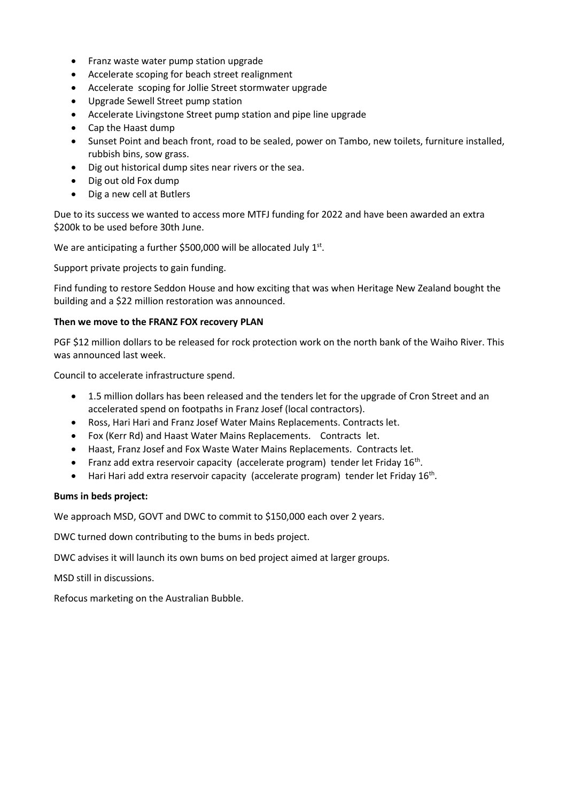- Franz waste water pump station upgrade
- Accelerate scoping for beach street realignment
- Accelerate scoping for Jollie Street stormwater upgrade
- Upgrade Sewell Street pump station
- Accelerate Livingstone Street pump station and pipe line upgrade
- Cap the Haast dump
- Sunset Point and beach front, road to be sealed, power on Tambo, new toilets, furniture installed, rubbish bins, sow grass.
- Dig out historical dump sites near rivers or the sea.
- Dig out old Fox dump
- Dig a new cell at Butlers

Due to its success we wanted to access more MTFJ funding for 2022 and have been awarded an extra \$200k to be used before 30th June.

We are anticipating a further \$500,000 will be allocated July  $1<sup>st</sup>$ .

Support private projects to gain funding.

Find funding to restore Seddon House and how exciting that was when Heritage New Zealand bought the building and a \$22 million restoration was announced.

### **Then we move to the FRANZ FOX recovery PLAN**

PGF \$12 million dollars to be released for rock protection work on the north bank of the Waiho River. This was announced last week.

Council to accelerate infrastructure spend.

- 1.5 million dollars has been released and the tenders let for the upgrade of Cron Street and an accelerated spend on footpaths in Franz Josef (local contractors).
- Ross, Hari Hari and Franz Josef Water Mains Replacements. Contracts let.
- Fox (Kerr Rd) and Haast Water Mains Replacements. Contracts let.
- Haast, Franz Josef and Fox Waste Water Mains Replacements. Contracts let.
- Franz add extra reservoir capacity (accelerate program) tender let Friday  $16^{th}$ .
- Hari Hari add extra reservoir capacity (accelerate program) tender let Friday 16<sup>th</sup>.

### **Bums in beds project:**

We approach MSD, GOVT and DWC to commit to \$150,000 each over 2 years.

DWC turned down contributing to the bums in beds project.

DWC advises it will launch its own bums on bed project aimed at larger groups.

MSD still in discussions.

Refocus marketing on the Australian Bubble.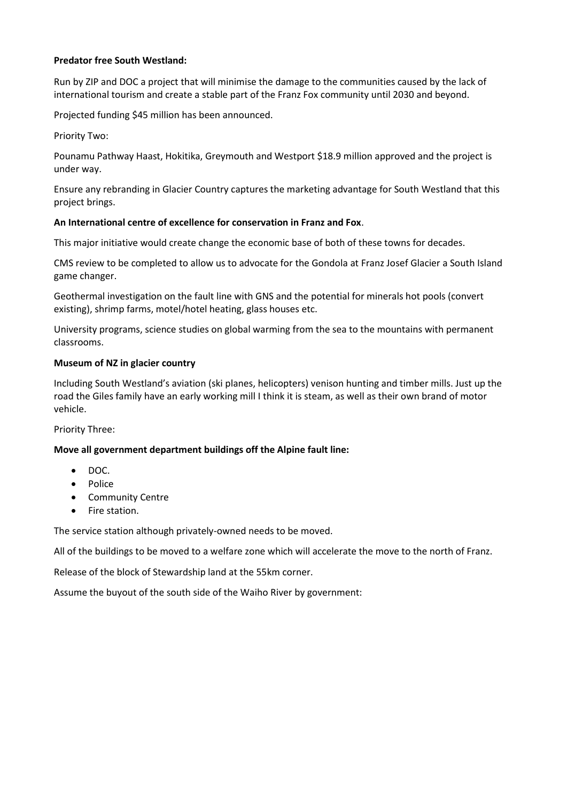# **Predator free South Westland:**

Run by ZIP and DOC a project that will minimise the damage to the communities caused by the lack of international tourism and create a stable part of the Franz Fox community until 2030 and beyond.

Projected funding \$45 million has been announced.

Priority Two:

Pounamu Pathway Haast, Hokitika, Greymouth and Westport \$18.9 million approved and the project is under way.

Ensure any rebranding in Glacier Country captures the marketing advantage for South Westland that this project brings.

### **An International centre of excellence for conservation in Franz and Fox**.

This major initiative would create change the economic base of both of these towns for decades.

CMS review to be completed to allow us to advocate for the Gondola at Franz Josef Glacier a South Island game changer.

Geothermal investigation on the fault line with GNS and the potential for minerals hot pools (convert existing), shrimp farms, motel/hotel heating, glass houses etc.

University programs, science studies on global warming from the sea to the mountains with permanent classrooms.

# **Museum of NZ in glacier country**

Including South Westland's aviation (ski planes, helicopters) venison hunting and timber mills. Just up the road the Giles family have an early working mill I think it is steam, as well as their own brand of motor vehicle.

Priority Three:

# **Move all government department buildings off the Alpine fault line:**

- $\bullet$  DOC.
- Police
- Community Centre
- Fire station.

The service station although privately-owned needs to be moved.

All of the buildings to be moved to a welfare zone which will accelerate the move to the north of Franz.

Release of the block of Stewardship land at the 55km corner.

Assume the buyout of the south side of the Waiho River by government: